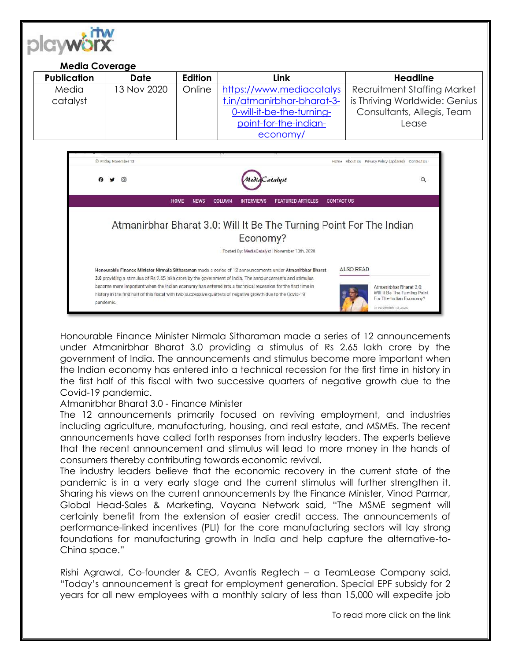

| <b>Media Coverage</b> |             |         |                            |                                    |  |
|-----------------------|-------------|---------|----------------------------|------------------------------------|--|
| <b>Publication</b>    | Date        | Edition | Link                       | <b>Headline</b>                    |  |
| Media                 | 13 Nov 2020 | Online  | https://www.mediacatalys   | <b>Recruitment Staffing Market</b> |  |
| catalyst              |             |         | t.in/atmanirbhar-bharat-3- | is Thriving Worldwide: Genius      |  |
|                       |             |         | 0-will-it-be-the-turning-  | Consultants, Allegis, Team         |  |
|                       |             |         | point-for-the-indian-      | Lease                              |  |
|                       |             |         | economy/                   |                                    |  |

| C Friday, November 13 |                                                                                                                                                                                                                            |                |                   |                                                | Home About Us Privacy Policy (Updated) Contact Us |                                                                                                           |  |
|-----------------------|----------------------------------------------------------------------------------------------------------------------------------------------------------------------------------------------------------------------------|----------------|-------------------|------------------------------------------------|---------------------------------------------------|-----------------------------------------------------------------------------------------------------------|--|
| ाल                    |                                                                                                                                                                                                                            | Media Catalyst |                   |                                                | Q                                                 |                                                                                                           |  |
|                       | <b>HOME</b><br><b>NEWS</b>                                                                                                                                                                                                 | <b>COLUMN</b>  | <b>INTERVIEWS</b> | <b>FEATURED ARTICLES</b>                       | <b>CONTACT US</b>                                 |                                                                                                           |  |
|                       | Atmanirbhar Bharat 3.0: Will It Be The Turning Point For The Indian                                                                                                                                                        |                |                   |                                                |                                                   |                                                                                                           |  |
|                       |                                                                                                                                                                                                                            |                | Economy?          |                                                |                                                   |                                                                                                           |  |
|                       |                                                                                                                                                                                                                            |                |                   | Posted By: MediaCatalyst   November 13th, 2020 |                                                   |                                                                                                           |  |
|                       | Honourable Finance Minister Nirmala Sitharaman made a series of 12 announcements under Atmanirbhar Bharat<br>3.0 providing a stimulus of Rs 2.65 lakh crore by the government of India. The announcements and stimulus     |                |                   |                                                | ALSO READ                                         |                                                                                                           |  |
| pandemic.             | become more important when the Indian economy has entered into a technical recession for the first time in<br>history in the first half of this fiscal with two successive quarters of negative growth due to the Covid-19 |                |                   |                                                |                                                   | Atmanirbhar Bharat 3.0:<br>Will It Be The Turning Point<br>For The Indian Economy?<br>@ November 13, 2020 |  |

Honourable Finance Minister Nirmala Sitharaman made a series of 12 announcements under Atmanirbhar Bharat 3.0 providing a stimulus of Rs 2.65 lakh crore by the government of India. The announcements and stimulus become more important when the Indian economy has entered into a technical recession for the first time in history in the first half of this fiscal with two successive quarters of negative growth due to the Covid-19 pandemic.

## Atmanirbhar Bharat 3.0 - Finance Minister

The 12 announcements primarily focused on reviving employment, and industries including agriculture, manufacturing, housing, and real estate, and MSMEs. The recent announcements have called forth responses from industry leaders. The experts believe that the recent announcement and stimulus will lead to more money in the hands of consumers thereby contributing towards economic revival.

The industry leaders believe that the economic recovery in the current state of the pandemic is in a very early stage and the current stimulus will further strengthen it. Sharing his views on the current announcements by the Finance Minister, Vinod Parmar, Global Head-Sales & Marketing, Vayana Network said, "The MSME segment will certainly benefit from the extension of easier credit access. The announcements of performance-linked incentives (PLI) for the core manufacturing sectors will lay strong foundations for manufacturing growth in India and help capture the alternative-to-China space."

Rishi Agrawal, Co-founder & CEO, Avantis Regtech – a TeamLease Company said, "Today's announcement is great for employment generation. Special EPF subsidy for 2 years for all new employees with a monthly salary of less than 15,000 will expedite job

To read more click on the link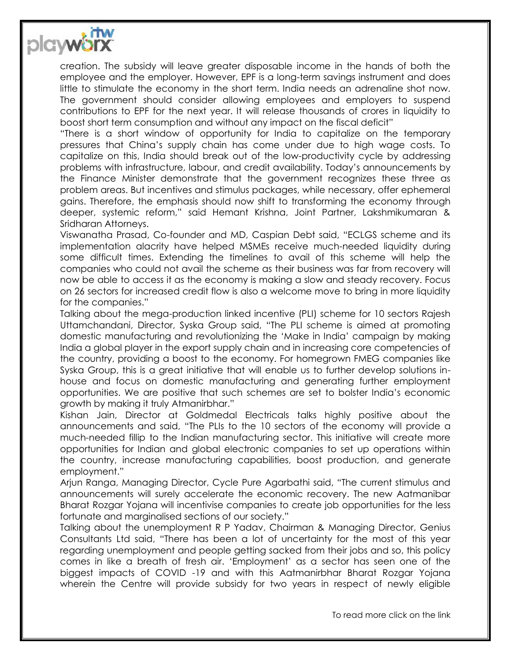

creation. The subsidy will leave greater disposable income in the hands of both the employee and the employer. However, EPF is a long-term savings instrument and does little to stimulate the economy in the short term. India needs an adrenaline shot now. The government should consider allowing employees and employers to suspend contributions to EPF for the next year. It will release thousands of crores in liquidity to boost short term consumption and without any impact on the fiscal deficit"

"There is a short window of opportunity for India to capitalize on the temporary pressures that China's supply chain has come under due to high wage costs. To capitalize on this, India should break out of the low-productivity cycle by addressing problems with infrastructure, labour, and credit availability. Today's announcements by the Finance Minister demonstrate that the government recognizes these three as problem areas. But incentives and stimulus packages, while necessary, offer ephemeral gains. Therefore, the emphasis should now shift to transforming the economy through deeper, systemic reform," said Hemant Krishna, Joint Partner, Lakshmikumaran & Sridharan Attorneys.

Viswanatha Prasad, Co-founder and MD, Caspian Debt said, "ECLGS scheme and its implementation alacrity have helped MSMEs receive much-needed liquidity during some difficult times. Extending the timelines to avail of this scheme will help the companies who could not avail the scheme as their business was far from recovery will now be able to access it as the economy is making a slow and steady recovery. Focus on 26 sectors for increased credit flow is also a welcome move to bring in more liquidity for the companies."

Talking about the mega-production linked incentive (PLI) scheme for 10 sectors Rajesh Uttamchandani, Director, Syska Group said, "The PLI scheme is aimed at promoting domestic manufacturing and revolutionizing the 'Make in India' campaign by making India a global player in the export supply chain and in increasing core competencies of the country, providing a boost to the economy. For homegrown FMEG companies like Syska Group, this is a great initiative that will enable us to further develop solutions inhouse and focus on domestic manufacturing and generating further employment opportunities. We are positive that such schemes are set to bolster India's economic growth by making it truly Atmanirbhar."

Kishan Jain, Director at Goldmedal Electricals talks highly positive about the announcements and said, "The PLIs to the 10 sectors of the economy will provide a much-needed fillip to the Indian manufacturing sector. This initiative will create more opportunities for Indian and global electronic companies to set up operations within the country, increase manufacturing capabilities, boost production, and generate employment."

Arjun Ranga, Managing Director, Cycle Pure Agarbathi said, "The current stimulus and announcements will surely accelerate the economic recovery. The new Aatmanibar Bharat Rozgar Yojana will incentivise companies to create job opportunities for the less fortunate and marginalised sections of our society."

Talking about the unemployment R P Yadav, Chairman & Managing Director, Genius Consultants Ltd said, "There has been a lot of uncertainty for the most of this year regarding unemployment and people getting sacked from their jobs and so, this policy comes in like a breath of fresh air. 'Employment' as a sector has seen one of the biggest impacts of COVID -19 and with this Aatmanirbhar Bharat Rozgar Yojana wherein the Centre will provide subsidy for two years in respect of newly eligible